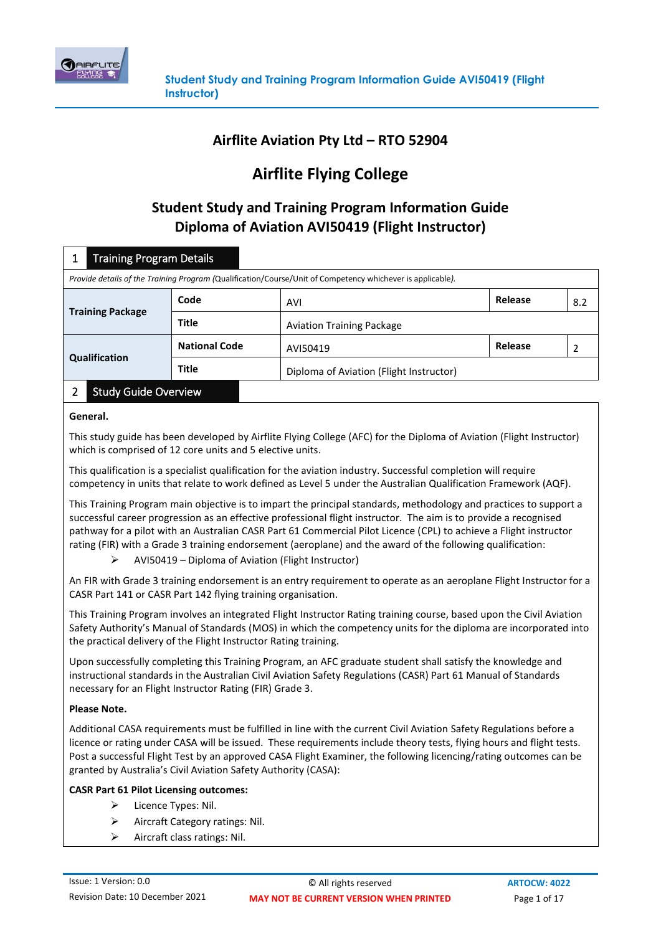

## **Airflite Aviation Pty Ltd – RTO 52904**

# **Airflite Flying College**

## **Student Study and Training Program Information Guide Diploma of Aviation AVI50419 (Flight Instructor)**

| <b>Training Program Details</b>                                                                            |                      |                                         |         |     |
|------------------------------------------------------------------------------------------------------------|----------------------|-----------------------------------------|---------|-----|
| Provide details of the Training Program (Qualification/Course/Unit of Competency whichever is applicable). |                      |                                         |         |     |
| <b>Training Package</b>                                                                                    | Code                 | AVI                                     | Release | 8.2 |
|                                                                                                            | <b>Title</b>         | <b>Aviation Training Package</b>        |         |     |
| Qualification                                                                                              | <b>National Code</b> | AVI50419                                | Release |     |
|                                                                                                            | <b>Title</b>         | Diploma of Aviation (Flight Instructor) |         |     |
| $\sim$ $\sim$ $\sim$ $\sim$ $\sim$                                                                         |                      |                                         |         |     |

### 2 Study Guide Overview

#### **General.**

This study guide has been developed by Airflite Flying College (AFC) for the Diploma of Aviation (Flight Instructor) which is comprised of 12 core units and 5 elective units.

This qualification is a specialist qualification for the aviation industry. Successful completion will require competency in units that relate to work defined as Level 5 under the Australian Qualification Framework (AQF).

This Training Program main objective is to impart the principal standards, methodology and practices to support a successful career progression as an effective professional flight instructor. The aim is to provide a recognised pathway for a pilot with an Australian CASR Part 61 Commercial Pilot Licence (CPL) to achieve a Flight instructor rating (FIR) with a Grade 3 training endorsement (aeroplane) and the award of the following qualification:

➢ AVI50419 – Diploma of Aviation (Flight Instructor)

An FIR with Grade 3 training endorsement is an entry requirement to operate as an aeroplane Flight Instructor for a CASR Part 141 or CASR Part 142 flying training organisation.

This Training Program involves an integrated Flight Instructor Rating training course, based upon the Civil Aviation Safety Authority's Manual of Standards (MOS) in which the competency units for the diploma are incorporated into the practical delivery of the Flight Instructor Rating training.

Upon successfully completing this Training Program, an AFC graduate student shall satisfy the knowledge and instructional standards in the Australian Civil Aviation Safety Regulations (CASR) Part 61 Manual of Standards necessary for an Flight Instructor Rating (FIR) Grade 3.

#### **Please Note.**

Additional CASA requirements must be fulfilled in line with the current Civil Aviation Safety Regulations before a licence or rating under CASA will be issued. These requirements include theory tests, flying hours and flight tests. Post a successful Flight Test by an approved CASA Flight Examiner, the following licencing/rating outcomes can be granted by Australia's Civil Aviation Safety Authority (CASA):

#### **CASR Part 61 Pilot Licensing outcomes:**

- ➢ Licence Types: Nil.
- ➢ Aircraft Category ratings: Nil.
- ➢ Aircraft class ratings: Nil.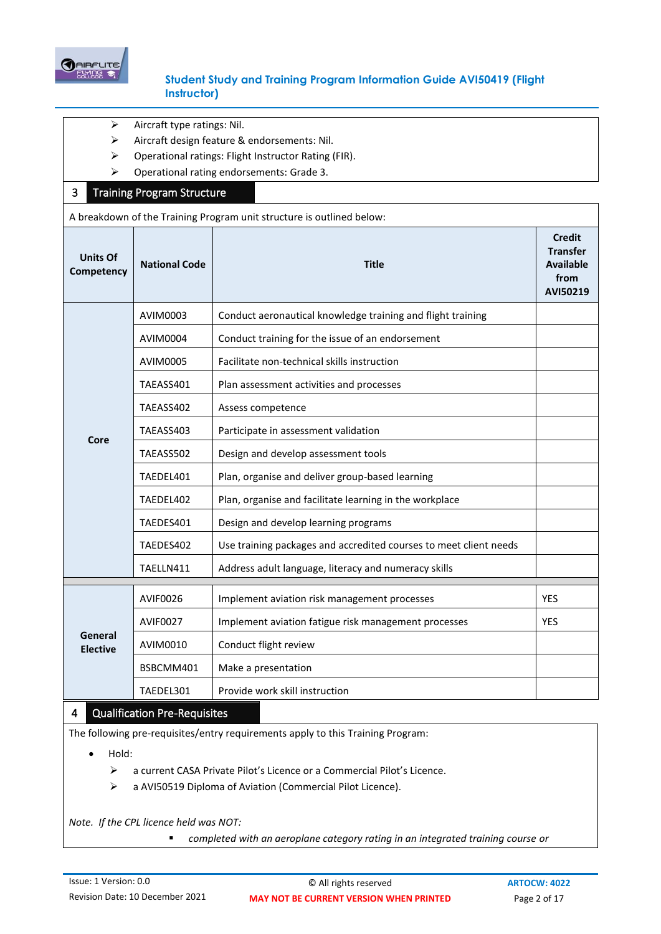

- ➢ Aircraft type ratings: Nil.
- ➢ Aircraft design feature & endorsements: Nil.
- ➢ Operational ratings: Flight Instructor Rating (FIR).
- ➢ Operational rating endorsements: Grade 3.

#### 3 Training Program Structure

A breakdown of the Training Program unit structure is outlined below:

| <b>Units Of</b><br>Competency | <b>National Code</b> | <b>Title</b>                                                      | <b>Credit</b><br><b>Transfer</b><br><b>Available</b><br>from<br>AVI50219 |
|-------------------------------|----------------------|-------------------------------------------------------------------|--------------------------------------------------------------------------|
|                               | AVIM0003             | Conduct aeronautical knowledge training and flight training       |                                                                          |
|                               | <b>AVIM0004</b>      | Conduct training for the issue of an endorsement                  |                                                                          |
|                               | AVIM0005             | Facilitate non-technical skills instruction                       |                                                                          |
|                               | TAEASS401            | Plan assessment activities and processes                          |                                                                          |
|                               | TAEASS402            | Assess competence                                                 |                                                                          |
| Core                          | TAEASS403            | Participate in assessment validation                              |                                                                          |
|                               | TAEASS502            | Design and develop assessment tools                               |                                                                          |
|                               | TAEDEL401            | Plan, organise and deliver group-based learning                   |                                                                          |
|                               | TAEDEL402            | Plan, organise and facilitate learning in the workplace           |                                                                          |
|                               | TAEDES401            | Design and develop learning programs                              |                                                                          |
|                               | TAEDES402            | Use training packages and accredited courses to meet client needs |                                                                          |
|                               | TAELLN411            | Address adult language, literacy and numeracy skills              |                                                                          |
| General<br><b>Elective</b>    | AVIF0026             | Implement aviation risk management processes                      | <b>YES</b>                                                               |
|                               | <b>AVIF0027</b>      | Implement aviation fatigue risk management processes              | <b>YES</b>                                                               |
|                               | AVIM0010             | Conduct flight review                                             |                                                                          |
|                               | BSBCMM401            | Make a presentation                                               |                                                                          |
|                               | TAEDEL301            | Provide work skill instruction                                    |                                                                          |

#### 4 Qualification Pre-Requisites

The following pre-requisites/entry requirements apply to this Training Program:

• Hold:

- ➢ a current CASA Private Pilot's Licence or a Commercial Pilot's Licence.
- ➢ a AVI50519 Diploma of Aviation (Commercial Pilot Licence).

*Note. If the CPL licence held was NOT:*

■ *completed with an aeroplane category rating in an integrated training course or*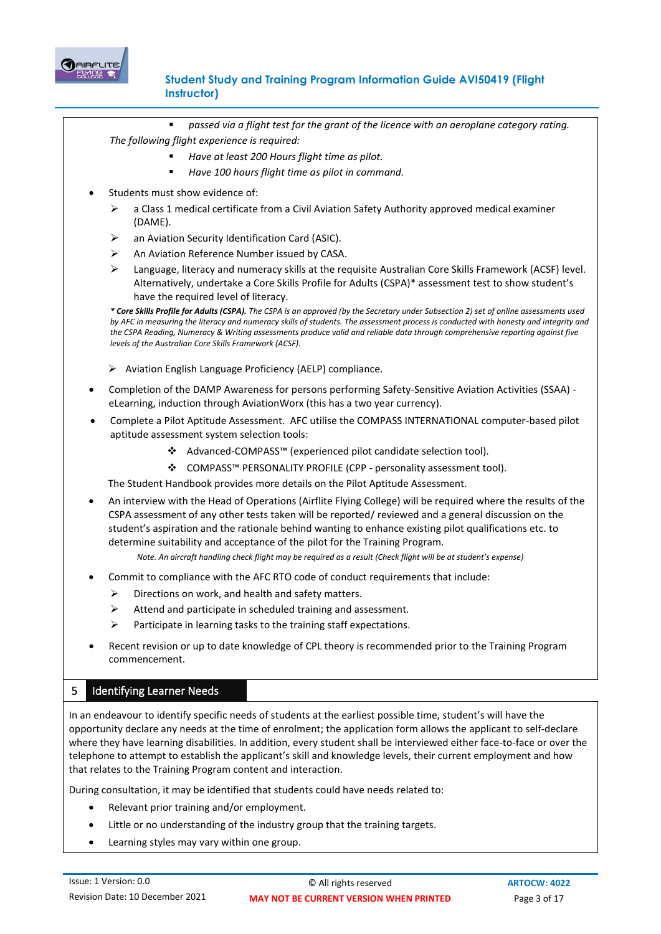

▪ *passed via a flight test for the grant of the licence with an aeroplane category rating.*

*The following flight experience is required:*

- *Have at least 200 Hours flight time as pilot.*
- Have 100 hours flight time as pilot in command.
- Students must show evidence of:
	- $\triangleright$  a Class 1 medical certificate from a Civil Aviation Safety Authority approved medical examiner (DAME).
	- an Aviation Security Identification Card (ASIC).
	- ➢ An Aviation Reference Number issued by CASA.
	- $\triangleright$  Language, literacy and numeracy skills at the requisite Australian Core Skills Framework (ACSF) level. Alternatively, undertake a Core Skills Profile for Adults (CSPA)\* assessment test to show student's have the required level of literacy.

*\* Core Skills Profile for Adults (CSPA). The CSPA is an approved (by the Secretary under Subsection 2) set of online assessments used*  by AFC in measuring the literacy and numeracy skills of students. The assessment process is conducted with honesty and integrity and *the CSPA Reading, Numeracy & Writing assessments produce valid and reliable data through comprehensive reporting against five levels of the Australian Core Skills Framework (ACSF).*

- ➢ Aviation English Language Proficiency (AELP) compliance.
- Completion of the [DAMP Awareness for persons performing Safety-Sensitive Aviation Activities \(SSAA\)](https://lms.casa.gov.au/users/achievementrecord/achievementrecord.asp?utype=0&id=4) [eLearning,](https://lms.casa.gov.au/users/achievementrecord/achievementrecord.asp?utype=0&id=4) induction through AviationWorx (this has a two year currency).
- Complete a Pilot Aptitude Assessment. AFC utilise the COMPASS INTERNATIONAL computer-based pilot aptitude assessment system selection tools:
	- ❖ Advanced-COMPASS™ (experienced pilot candidate selection tool).
	- ❖ COMPASS™ PERSONALITY PROFILE (CPP personality assessment tool).

The Student Handbook provides more details on the Pilot Aptitude Assessment.

• An interview with the Head of Operations (Airflite Flying College) will be required where the results of the CSPA assessment of any other tests taken will be reported/ reviewed and a general discussion on the student's aspiration and the rationale behind wanting to enhance existing pilot qualifications etc. to determine suitability and acceptance of the pilot for the Training Program.

*Note. An aircraft handling check flight may be required as a result (Check flight will be at student's expense)*

- Commit to compliance with the AFC RTO code of conduct requirements that include:
	- $\triangleright$  Directions on work, and health and safety matters.
	- ➢ Attend and participate in scheduled training and assessment.
	- ➢ Participate in learning tasks to the training staff expectations.
- Recent revision or up to date knowledge of CPL theory is recommended prior to the Training Program commencement.

### 5 Identifying Learner Needs

In an endeavour to identify specific needs of students at the earliest possible time, student's will have the opportunity declare any needs at the time of enrolment; the application form allows the applicant to self‐declare where they have learning disabilities. In addition, every student shall be interviewed either face-to-face or over the telephone to attempt to establish the applicant's skill and knowledge levels, their current employment and how that relates to the Training Program content and interaction.

During consultation, it may be identified that students could have needs related to:

- Relevant prior training and/or employment.
- Little or no understanding of the industry group that the training targets.
- Learning styles may vary within one group.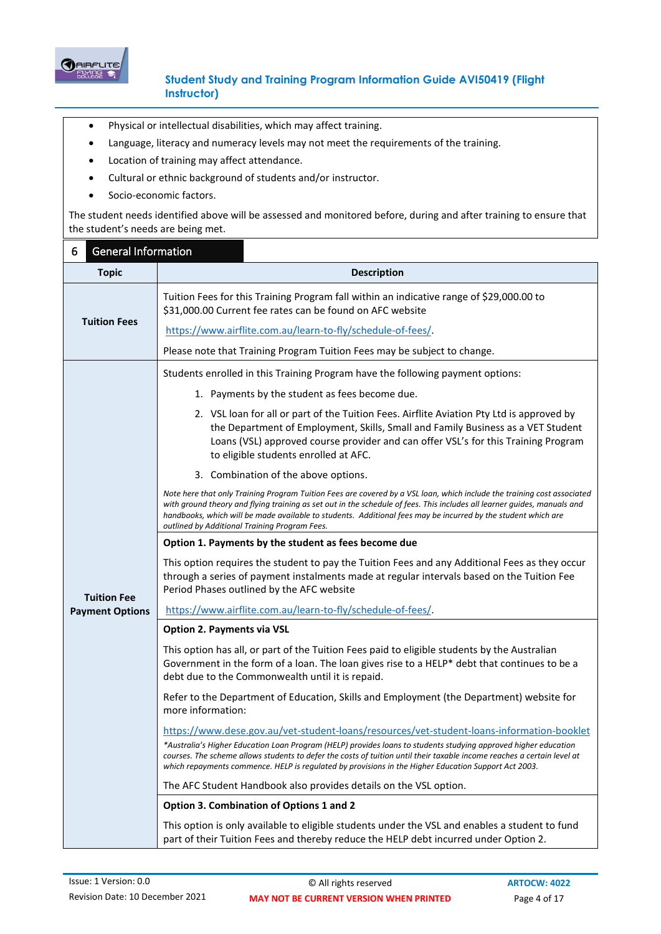

- Physical or intellectual disabilities, which may affect training.
- Language, literacy and numeracy levels may not meet the requirements of the training.
- Location of training may affect attendance.
- Cultural or ethnic background of students and/or instructor.
- Socio-economic factors.

The student needs identified above will be assessed and monitored before, during and after training to ensure that the student's needs are being met.

| <b>General Information</b><br>6 |                                                                                                                                                                                                                                                                                                                                                                                                                       |  |
|---------------------------------|-----------------------------------------------------------------------------------------------------------------------------------------------------------------------------------------------------------------------------------------------------------------------------------------------------------------------------------------------------------------------------------------------------------------------|--|
| <b>Topic</b>                    | <b>Description</b>                                                                                                                                                                                                                                                                                                                                                                                                    |  |
| <b>Tuition Fees</b>             | Tuition Fees for this Training Program fall within an indicative range of \$29,000.00 to<br>\$31,000.00 Current fee rates can be found on AFC website                                                                                                                                                                                                                                                                 |  |
|                                 | https://www.airflite.com.au/learn-to-fly/schedule-of-fees/                                                                                                                                                                                                                                                                                                                                                            |  |
|                                 | Please note that Training Program Tuition Fees may be subject to change.                                                                                                                                                                                                                                                                                                                                              |  |
|                                 | Students enrolled in this Training Program have the following payment options:                                                                                                                                                                                                                                                                                                                                        |  |
|                                 | 1. Payments by the student as fees become due.                                                                                                                                                                                                                                                                                                                                                                        |  |
|                                 | 2. VSL loan for all or part of the Tuition Fees. Airflite Aviation Pty Ltd is approved by<br>the Department of Employment, Skills, Small and Family Business as a VET Student<br>Loans (VSL) approved course provider and can offer VSL's for this Training Program<br>to eligible students enrolled at AFC.                                                                                                          |  |
|                                 | 3. Combination of the above options.                                                                                                                                                                                                                                                                                                                                                                                  |  |
|                                 | Note here that only Training Program Tuition Fees are covered by a VSL loan, which include the training cost associated<br>with ground theory and flying training as set out in the schedule of fees. This includes all learner guides, manuals and<br>handbooks, which will be made available to students. Additional fees may be incurred by the student which are<br>outlined by Additional Training Program Fees. |  |
|                                 | Option 1. Payments by the student as fees become due                                                                                                                                                                                                                                                                                                                                                                  |  |
| <b>Tuition Fee</b>              | This option requires the student to pay the Tuition Fees and any Additional Fees as they occur<br>through a series of payment instalments made at regular intervals based on the Tuition Fee<br>Period Phases outlined by the AFC website                                                                                                                                                                             |  |
| <b>Payment Options</b>          | https://www.airflite.com.au/learn-to-fly/schedule-of-fees/                                                                                                                                                                                                                                                                                                                                                            |  |
|                                 | <b>Option 2. Payments via VSL</b>                                                                                                                                                                                                                                                                                                                                                                                     |  |
|                                 | This option has all, or part of the Tuition Fees paid to eligible students by the Australian<br>Government in the form of a loan. The loan gives rise to a HELP* debt that continues to be a<br>debt due to the Commonwealth until it is repaid.                                                                                                                                                                      |  |
|                                 | Refer to the Department of Education, Skills and Employment (the Department) website for<br>more information:                                                                                                                                                                                                                                                                                                         |  |
|                                 | https://www.dese.gov.au/vet-student-loans/resources/vet-student-loans-information-booklet                                                                                                                                                                                                                                                                                                                             |  |
|                                 | *Australia's Higher Education Loan Program (HELP) provides loans to students studying approved higher education<br>courses. The scheme allows students to defer the costs of tuition until their taxable income reaches a certain level at<br>which repayments commence. HELP is regulated by provisions in the Higher Education Support Act 2003.                                                                    |  |
|                                 | The AFC Student Handbook also provides details on the VSL option.                                                                                                                                                                                                                                                                                                                                                     |  |
|                                 | Option 3. Combination of Options 1 and 2                                                                                                                                                                                                                                                                                                                                                                              |  |
|                                 | This option is only available to eligible students under the VSL and enables a student to fund<br>part of their Tuition Fees and thereby reduce the HELP debt incurred under Option 2.                                                                                                                                                                                                                                |  |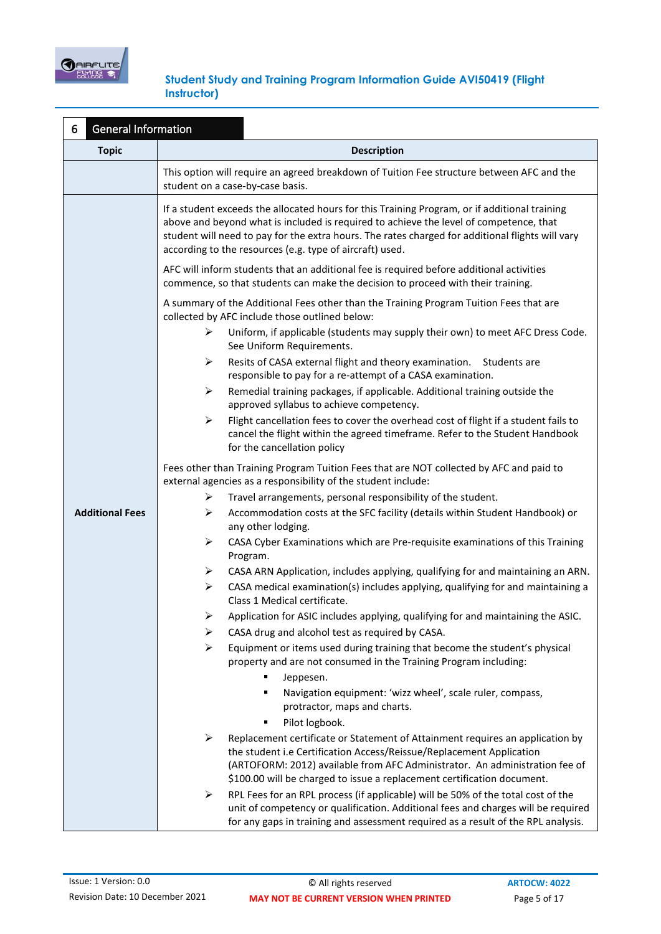

| General Information<br>6 |                                                                                                                                                                                                                                                                                                                                                         |  |
|--------------------------|---------------------------------------------------------------------------------------------------------------------------------------------------------------------------------------------------------------------------------------------------------------------------------------------------------------------------------------------------------|--|
| <b>Topic</b>             | <b>Description</b>                                                                                                                                                                                                                                                                                                                                      |  |
|                          | This option will require an agreed breakdown of Tuition Fee structure between AFC and the<br>student on a case-by-case basis.                                                                                                                                                                                                                           |  |
|                          | If a student exceeds the allocated hours for this Training Program, or if additional training<br>above and beyond what is included is required to achieve the level of competence, that<br>student will need to pay for the extra hours. The rates charged for additional flights will vary<br>according to the resources (e.g. type of aircraft) used. |  |
|                          | AFC will inform students that an additional fee is required before additional activities<br>commence, so that students can make the decision to proceed with their training.                                                                                                                                                                            |  |
|                          | A summary of the Additional Fees other than the Training Program Tuition Fees that are<br>collected by AFC include those outlined below:                                                                                                                                                                                                                |  |
|                          | ➤<br>Uniform, if applicable (students may supply their own) to meet AFC Dress Code.<br>See Uniform Requirements.                                                                                                                                                                                                                                        |  |
|                          | Resits of CASA external flight and theory examination. Students are<br>➤<br>responsible to pay for a re-attempt of a CASA examination.                                                                                                                                                                                                                  |  |
|                          | ➤<br>Remedial training packages, if applicable. Additional training outside the<br>approved syllabus to achieve competency.                                                                                                                                                                                                                             |  |
|                          | ➤<br>Flight cancellation fees to cover the overhead cost of flight if a student fails to<br>cancel the flight within the agreed timeframe. Refer to the Student Handbook<br>for the cancellation policy                                                                                                                                                 |  |
|                          | Fees other than Training Program Tuition Fees that are NOT collected by AFC and paid to<br>external agencies as a responsibility of the student include:                                                                                                                                                                                                |  |
|                          | ➤<br>Travel arrangements, personal responsibility of the student.                                                                                                                                                                                                                                                                                       |  |
| <b>Additional Fees</b>   | ➤<br>Accommodation costs at the SFC facility (details within Student Handbook) or<br>any other lodging.                                                                                                                                                                                                                                                 |  |
|                          | ➤<br>CASA Cyber Examinations which are Pre-requisite examinations of this Training<br>Program.                                                                                                                                                                                                                                                          |  |
|                          | CASA ARN Application, includes applying, qualifying for and maintaining an ARN.<br>➤                                                                                                                                                                                                                                                                    |  |
|                          | ➤<br>CASA medical examination(s) includes applying, qualifying for and maintaining a<br>Class 1 Medical certificate.                                                                                                                                                                                                                                    |  |
|                          | Application for ASIC includes applying, qualifying for and maintaining the ASIC.<br>➤                                                                                                                                                                                                                                                                   |  |
|                          | ➤<br>CASA drug and alcohol test as required by CASA.                                                                                                                                                                                                                                                                                                    |  |
|                          | ➤<br>Equipment or items used during training that become the student's physical<br>property and are not consumed in the Training Program including:                                                                                                                                                                                                     |  |
|                          | ٠<br>Jeppesen.                                                                                                                                                                                                                                                                                                                                          |  |
|                          | Navigation equipment: 'wizz wheel', scale ruler, compass,<br>٠                                                                                                                                                                                                                                                                                          |  |
|                          | protractor, maps and charts.                                                                                                                                                                                                                                                                                                                            |  |
|                          | Pilot logbook.<br>٠                                                                                                                                                                                                                                                                                                                                     |  |
|                          | Replacement certificate or Statement of Attainment requires an application by<br>➤<br>the student i.e Certification Access/Reissue/Replacement Application<br>(ARTOFORM: 2012) available from AFC Administrator. An administration fee of<br>\$100.00 will be charged to issue a replacement certification document.                                    |  |
|                          | RPL Fees for an RPL process (if applicable) will be 50% of the total cost of the<br>➤<br>unit of competency or qualification. Additional fees and charges will be required<br>for any gaps in training and assessment required as a result of the RPL analysis.                                                                                         |  |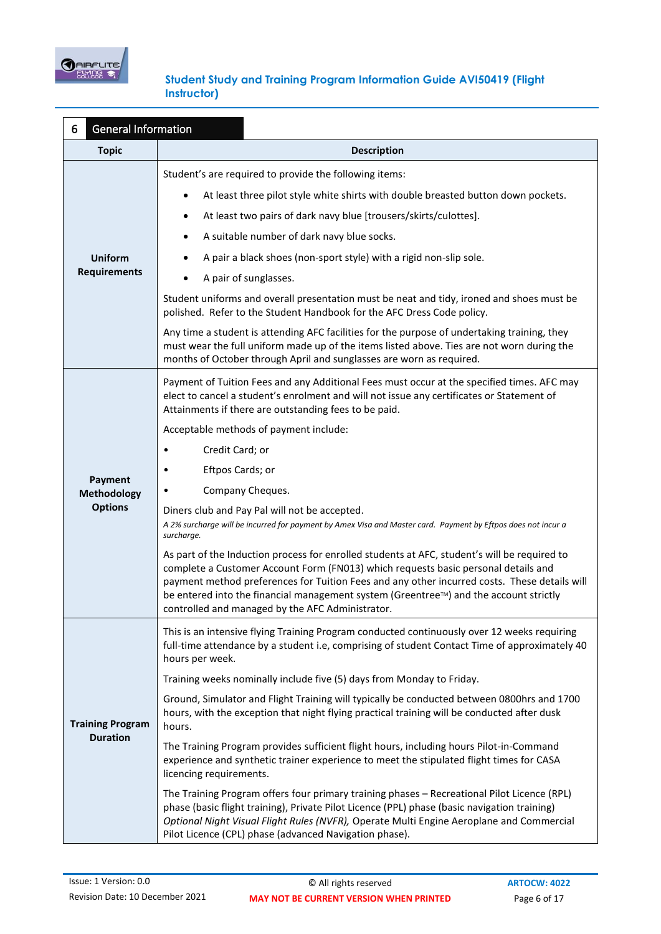

| <b>General Information</b><br>6            |                                                                                                                                                                                                                                                                                                                                                                                                                                 |  |  |
|--------------------------------------------|---------------------------------------------------------------------------------------------------------------------------------------------------------------------------------------------------------------------------------------------------------------------------------------------------------------------------------------------------------------------------------------------------------------------------------|--|--|
| <b>Topic</b>                               | <b>Description</b>                                                                                                                                                                                                                                                                                                                                                                                                              |  |  |
|                                            | Student's are required to provide the following items:                                                                                                                                                                                                                                                                                                                                                                          |  |  |
|                                            | At least three pilot style white shirts with double breasted button down pockets.                                                                                                                                                                                                                                                                                                                                               |  |  |
|                                            | At least two pairs of dark navy blue [trousers/skirts/culottes].                                                                                                                                                                                                                                                                                                                                                                |  |  |
|                                            | A suitable number of dark navy blue socks.                                                                                                                                                                                                                                                                                                                                                                                      |  |  |
| <b>Uniform</b>                             | A pair a black shoes (non-sport style) with a rigid non-slip sole.                                                                                                                                                                                                                                                                                                                                                              |  |  |
| <b>Requirements</b>                        | A pair of sunglasses.                                                                                                                                                                                                                                                                                                                                                                                                           |  |  |
|                                            | Student uniforms and overall presentation must be neat and tidy, ironed and shoes must be<br>polished. Refer to the Student Handbook for the AFC Dress Code policy.                                                                                                                                                                                                                                                             |  |  |
|                                            | Any time a student is attending AFC facilities for the purpose of undertaking training, they<br>must wear the full uniform made up of the items listed above. Ties are not worn during the<br>months of October through April and sunglasses are worn as required.                                                                                                                                                              |  |  |
|                                            | Payment of Tuition Fees and any Additional Fees must occur at the specified times. AFC may<br>elect to cancel a student's enrolment and will not issue any certificates or Statement of<br>Attainments if there are outstanding fees to be paid.                                                                                                                                                                                |  |  |
|                                            | Acceptable methods of payment include:                                                                                                                                                                                                                                                                                                                                                                                          |  |  |
|                                            | Credit Card; or                                                                                                                                                                                                                                                                                                                                                                                                                 |  |  |
| Payment                                    | Eftpos Cards; or<br>٠                                                                                                                                                                                                                                                                                                                                                                                                           |  |  |
| Methodology                                | Company Cheques.                                                                                                                                                                                                                                                                                                                                                                                                                |  |  |
| <b>Options</b>                             | Diners club and Pay Pal will not be accepted.<br>A 2% surcharge will be incurred for payment by Amex Visa and Master card. Payment by Eftpos does not incur a<br>surcharge.                                                                                                                                                                                                                                                     |  |  |
|                                            | As part of the Induction process for enrolled students at AFC, student's will be required to<br>complete a Customer Account Form (FN013) which requests basic personal details and<br>payment method preferences for Tuition Fees and any other incurred costs. These details will<br>be entered into the financial management system (Greentree™) and the account strictly<br>controlled and managed by the AFC Administrator. |  |  |
|                                            | This is an intensive flying Training Program conducted continuously over 12 weeks requiring<br>full-time attendance by a student i.e, comprising of student Contact Time of approximately 40<br>hours per week.                                                                                                                                                                                                                 |  |  |
|                                            | Training weeks nominally include five (5) days from Monday to Friday.                                                                                                                                                                                                                                                                                                                                                           |  |  |
| <b>Training Program</b><br><b>Duration</b> | Ground, Simulator and Flight Training will typically be conducted between 0800hrs and 1700<br>hours, with the exception that night flying practical training will be conducted after dusk<br>hours.                                                                                                                                                                                                                             |  |  |
|                                            | The Training Program provides sufficient flight hours, including hours Pilot-in-Command<br>experience and synthetic trainer experience to meet the stipulated flight times for CASA<br>licencing requirements.                                                                                                                                                                                                                  |  |  |
|                                            | The Training Program offers four primary training phases - Recreational Pilot Licence (RPL)<br>phase (basic flight training), Private Pilot Licence (PPL) phase (basic navigation training)<br>Optional Night Visual Flight Rules (NVFR), Operate Multi Engine Aeroplane and Commercial<br>Pilot Licence (CPL) phase (advanced Navigation phase).                                                                               |  |  |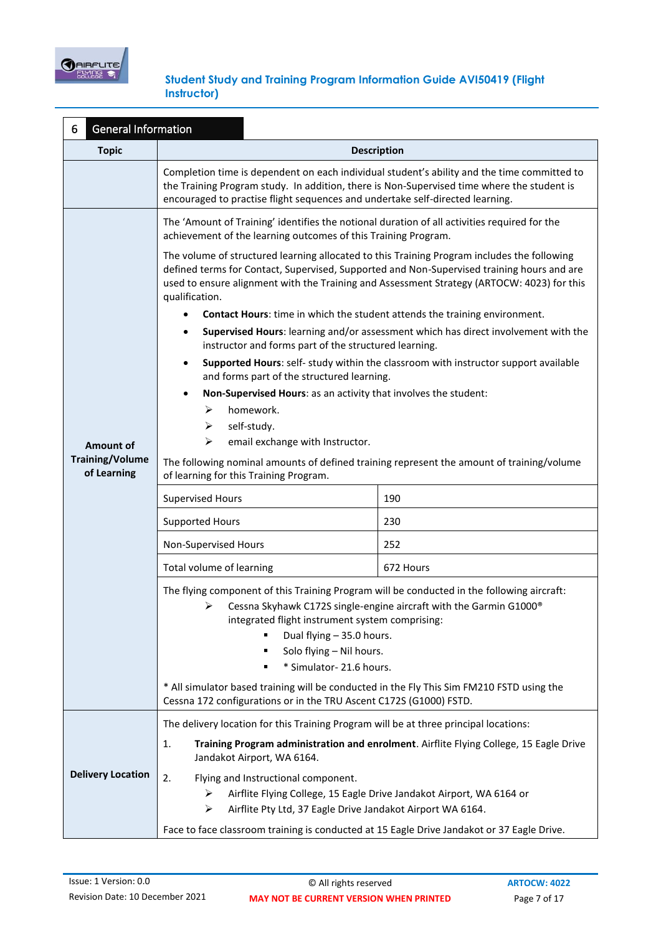

| <b>General Information</b><br>6       |                                                                                                                                                                                                                                                                                                                        |                                                                                        |  |
|---------------------------------------|------------------------------------------------------------------------------------------------------------------------------------------------------------------------------------------------------------------------------------------------------------------------------------------------------------------------|----------------------------------------------------------------------------------------|--|
| <b>Topic</b>                          | <b>Description</b>                                                                                                                                                                                                                                                                                                     |                                                                                        |  |
|                                       | Completion time is dependent on each individual student's ability and the time committed to<br>the Training Program study. In addition, there is Non-Supervised time where the student is<br>encouraged to practise flight sequences and undertake self-directed learning.                                             |                                                                                        |  |
|                                       | The 'Amount of Training' identifies the notional duration of all activities required for the<br>achievement of the learning outcomes of this Training Program.                                                                                                                                                         |                                                                                        |  |
|                                       | The volume of structured learning allocated to this Training Program includes the following<br>defined terms for Contact, Supervised, Supported and Non-Supervised training hours and are<br>used to ensure alignment with the Training and Assessment Strategy (ARTOCW: 4023) for this<br>qualification.              |                                                                                        |  |
|                                       | Contact Hours: time in which the student attends the training environment.                                                                                                                                                                                                                                             |                                                                                        |  |
|                                       | instructor and forms part of the structured learning.                                                                                                                                                                                                                                                                  | Supervised Hours: learning and/or assessment which has direct involvement with the     |  |
|                                       | and forms part of the structured learning.                                                                                                                                                                                                                                                                             | Supported Hours: self- study within the classroom with instructor support available    |  |
|                                       | Non-Supervised Hours: as an activity that involves the student:                                                                                                                                                                                                                                                        |                                                                                        |  |
|                                       | homework.<br>➤                                                                                                                                                                                                                                                                                                         |                                                                                        |  |
|                                       | self-study.<br>➤                                                                                                                                                                                                                                                                                                       |                                                                                        |  |
| <b>Amount of</b>                      | ⋗<br>email exchange with Instructor.                                                                                                                                                                                                                                                                                   |                                                                                        |  |
| <b>Training/Volume</b><br>of Learning | The following nominal amounts of defined training represent the amount of training/volume<br>of learning for this Training Program.                                                                                                                                                                                    |                                                                                        |  |
|                                       | <b>Supervised Hours</b>                                                                                                                                                                                                                                                                                                | 190                                                                                    |  |
|                                       | <b>Supported Hours</b>                                                                                                                                                                                                                                                                                                 | 230                                                                                    |  |
|                                       | Non-Supervised Hours                                                                                                                                                                                                                                                                                                   | 252                                                                                    |  |
|                                       | Total volume of learning                                                                                                                                                                                                                                                                                               | 672 Hours                                                                              |  |
|                                       | The flying component of this Training Program will be conducted in the following aircraft:<br>Cessna Skyhawk C172S single-engine aircraft with the Garmin G1000®<br>➤<br>integrated flight instrument system comprising:<br>Dual flying - 35.0 hours.<br>Solo flying - Nil hours.<br>٠<br>* Simulator-21.6 hours.<br>٠ |                                                                                        |  |
|                                       | * All simulator based training will be conducted in the Fly This Sim FM210 FSTD using the<br>Cessna 172 configurations or in the TRU Ascent C172S (G1000) FSTD.                                                                                                                                                        |                                                                                        |  |
|                                       | The delivery location for this Training Program will be at three principal locations:                                                                                                                                                                                                                                  |                                                                                        |  |
|                                       | 1.<br>Jandakot Airport, WA 6164.                                                                                                                                                                                                                                                                                       | Training Program administration and enrolment. Airflite Flying College, 15 Eagle Drive |  |
| <b>Delivery Location</b>              | 2.<br>Flying and Instructional component.                                                                                                                                                                                                                                                                              |                                                                                        |  |
|                                       | ≻                                                                                                                                                                                                                                                                                                                      | Airflite Flying College, 15 Eagle Drive Jandakot Airport, WA 6164 or                   |  |
|                                       | Airflite Pty Ltd, 37 Eagle Drive Jandakot Airport WA 6164.<br>➤                                                                                                                                                                                                                                                        |                                                                                        |  |
|                                       | Face to face classroom training is conducted at 15 Eagle Drive Jandakot or 37 Eagle Drive.                                                                                                                                                                                                                             |                                                                                        |  |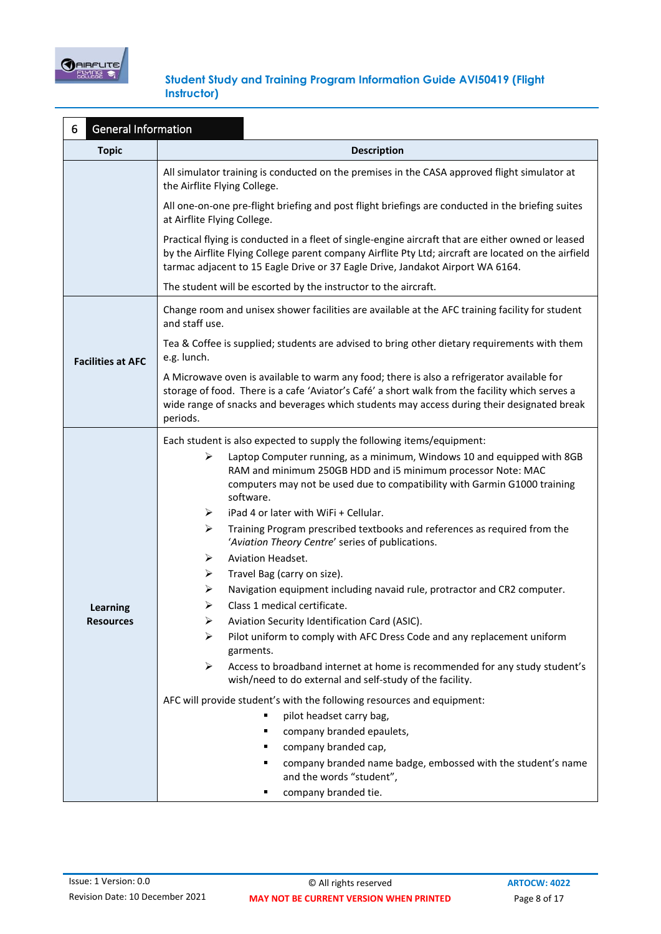

| <b>General Information</b><br>6 |                                                                                                                                                                                                                                                                                                         |  |  |
|---------------------------------|---------------------------------------------------------------------------------------------------------------------------------------------------------------------------------------------------------------------------------------------------------------------------------------------------------|--|--|
| <b>Topic</b>                    | <b>Description</b>                                                                                                                                                                                                                                                                                      |  |  |
|                                 | All simulator training is conducted on the premises in the CASA approved flight simulator at<br>the Airflite Flying College.                                                                                                                                                                            |  |  |
|                                 | All one-on-one pre-flight briefing and post flight briefings are conducted in the briefing suites<br>at Airflite Flying College.                                                                                                                                                                        |  |  |
|                                 | Practical flying is conducted in a fleet of single-engine aircraft that are either owned or leased<br>by the Airflite Flying College parent company Airflite Pty Ltd; aircraft are located on the airfield<br>tarmac adjacent to 15 Eagle Drive or 37 Eagle Drive, Jandakot Airport WA 6164.            |  |  |
|                                 | The student will be escorted by the instructor to the aircraft.                                                                                                                                                                                                                                         |  |  |
|                                 | Change room and unisex shower facilities are available at the AFC training facility for student<br>and staff use.                                                                                                                                                                                       |  |  |
| <b>Facilities at AFC</b>        | Tea & Coffee is supplied; students are advised to bring other dietary requirements with them<br>e.g. lunch.                                                                                                                                                                                             |  |  |
|                                 | A Microwave oven is available to warm any food; there is also a refrigerator available for<br>storage of food. There is a cafe 'Aviator's Café' a short walk from the facility which serves a<br>wide range of snacks and beverages which students may access during their designated break<br>periods. |  |  |
|                                 | Each student is also expected to supply the following items/equipment:                                                                                                                                                                                                                                  |  |  |
|                                 | Laptop Computer running, as a minimum, Windows 10 and equipped with 8GB<br>➤<br>RAM and minimum 250GB HDD and i5 minimum processor Note: MAC<br>computers may not be used due to compatibility with Garmin G1000 training<br>software.                                                                  |  |  |
|                                 | iPad 4 or later with WiFi + Cellular.<br>➤                                                                                                                                                                                                                                                              |  |  |
|                                 | ➤<br>Training Program prescribed textbooks and references as required from the<br>'Aviation Theory Centre' series of publications.                                                                                                                                                                      |  |  |
|                                 | <b>Aviation Headset.</b><br>➤                                                                                                                                                                                                                                                                           |  |  |
|                                 | Travel Bag (carry on size).<br>➤                                                                                                                                                                                                                                                                        |  |  |
|                                 | Navigation equipment including navaid rule, protractor and CR2 computer.<br>➤                                                                                                                                                                                                                           |  |  |
| <b>Learning</b>                 | Class 1 medical certificate.<br>➤                                                                                                                                                                                                                                                                       |  |  |
| <b>Resources</b>                | Aviation Security Identification Card (ASIC).<br>➤<br>Pilot uniform to comply with AFC Dress Code and any replacement uniform<br>⋗                                                                                                                                                                      |  |  |
|                                 | garments.                                                                                                                                                                                                                                                                                               |  |  |
|                                 | Access to broadband internet at home is recommended for any study student's<br>➤<br>wish/need to do external and self-study of the facility.                                                                                                                                                            |  |  |
|                                 | AFC will provide student's with the following resources and equipment:                                                                                                                                                                                                                                  |  |  |
|                                 | pilot headset carry bag,<br>٠                                                                                                                                                                                                                                                                           |  |  |
|                                 | company branded epaulets,<br>٠                                                                                                                                                                                                                                                                          |  |  |
|                                 | company branded cap,<br>٠                                                                                                                                                                                                                                                                               |  |  |
|                                 | company branded name badge, embossed with the student's name<br>٠<br>and the words "student",                                                                                                                                                                                                           |  |  |
|                                 | company branded tie.<br>٠                                                                                                                                                                                                                                                                               |  |  |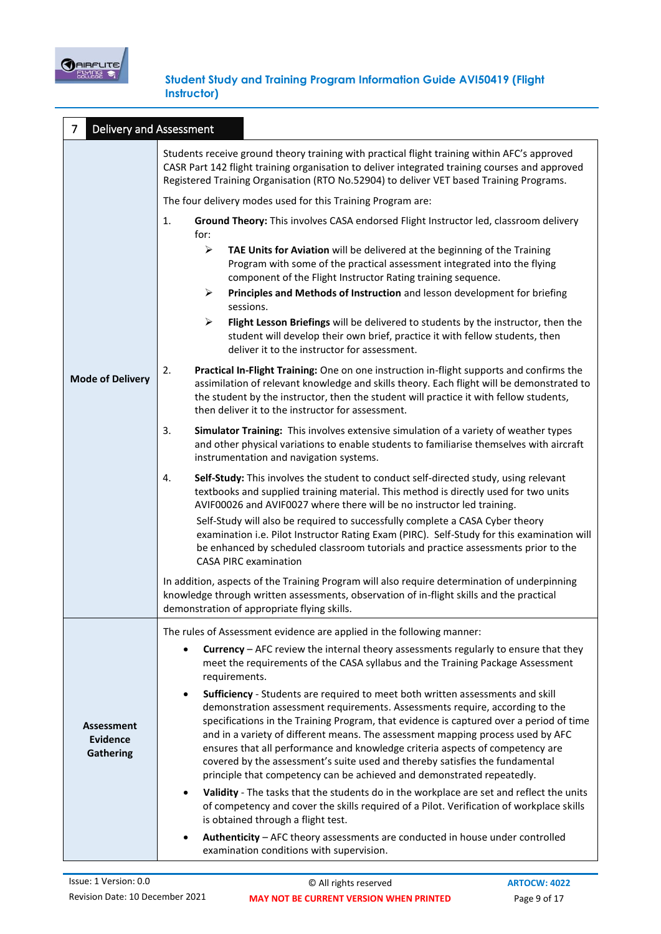

| $\overline{7}$<br><b>Delivery and Assessment</b>         |                                                                                                                                                                                                                                                                                                                                                                                                                                                                                                                                                                                                      |
|----------------------------------------------------------|------------------------------------------------------------------------------------------------------------------------------------------------------------------------------------------------------------------------------------------------------------------------------------------------------------------------------------------------------------------------------------------------------------------------------------------------------------------------------------------------------------------------------------------------------------------------------------------------------|
|                                                          | Students receive ground theory training with practical flight training within AFC's approved<br>CASR Part 142 flight training organisation to deliver integrated training courses and approved<br>Registered Training Organisation (RTO No.52904) to deliver VET based Training Programs.                                                                                                                                                                                                                                                                                                            |
|                                                          | The four delivery modes used for this Training Program are:                                                                                                                                                                                                                                                                                                                                                                                                                                                                                                                                          |
|                                                          | 1.<br>Ground Theory: This involves CASA endorsed Flight Instructor led, classroom delivery<br>for:                                                                                                                                                                                                                                                                                                                                                                                                                                                                                                   |
|                                                          | $\blacktriangleright$<br>TAE Units for Aviation will be delivered at the beginning of the Training<br>Program with some of the practical assessment integrated into the flying<br>component of the Flight Instructor Rating training sequence.                                                                                                                                                                                                                                                                                                                                                       |
|                                                          | $\blacktriangleright$<br>Principles and Methods of Instruction and lesson development for briefing<br>sessions.                                                                                                                                                                                                                                                                                                                                                                                                                                                                                      |
| <b>Mode of Delivery</b>                                  | $\blacktriangleright$<br>Flight Lesson Briefings will be delivered to students by the instructor, then the<br>student will develop their own brief, practice it with fellow students, then<br>deliver it to the instructor for assessment.                                                                                                                                                                                                                                                                                                                                                           |
|                                                          | 2.<br>Practical In-Flight Training: One on one instruction in-flight supports and confirms the<br>assimilation of relevant knowledge and skills theory. Each flight will be demonstrated to<br>the student by the instructor, then the student will practice it with fellow students,<br>then deliver it to the instructor for assessment.                                                                                                                                                                                                                                                           |
|                                                          | 3.<br>Simulator Training: This involves extensive simulation of a variety of weather types<br>and other physical variations to enable students to familiarise themselves with aircraft<br>instrumentation and navigation systems.                                                                                                                                                                                                                                                                                                                                                                    |
|                                                          | Self-Study: This involves the student to conduct self-directed study, using relevant<br>4.<br>textbooks and supplied training material. This method is directly used for two units<br>AVIF00026 and AVIF0027 where there will be no instructor led training.                                                                                                                                                                                                                                                                                                                                         |
|                                                          | Self-Study will also be required to successfully complete a CASA Cyber theory<br>examination i.e. Pilot Instructor Rating Exam (PIRC). Self-Study for this examination will<br>be enhanced by scheduled classroom tutorials and practice assessments prior to the<br><b>CASA PIRC examination</b>                                                                                                                                                                                                                                                                                                    |
|                                                          | In addition, aspects of the Training Program will also require determination of underpinning<br>knowledge through written assessments, observation of in-flight skills and the practical<br>demonstration of appropriate flying skills.                                                                                                                                                                                                                                                                                                                                                              |
|                                                          | The rules of Assessment evidence are applied in the following manner:                                                                                                                                                                                                                                                                                                                                                                                                                                                                                                                                |
| <b>Assessment</b><br><b>Evidence</b><br><b>Gathering</b> | Currency - AFC review the internal theory assessments regularly to ensure that they<br>meet the requirements of the CASA syllabus and the Training Package Assessment<br>requirements.                                                                                                                                                                                                                                                                                                                                                                                                               |
|                                                          | Sufficiency - Students are required to meet both written assessments and skill<br>$\bullet$<br>demonstration assessment requirements. Assessments require, according to the<br>specifications in the Training Program, that evidence is captured over a period of time<br>and in a variety of different means. The assessment mapping process used by AFC<br>ensures that all performance and knowledge criteria aspects of competency are<br>covered by the assessment's suite used and thereby satisfies the fundamental<br>principle that competency can be achieved and demonstrated repeatedly. |
|                                                          | Validity - The tasks that the students do in the workplace are set and reflect the units<br>$\bullet$<br>of competency and cover the skills required of a Pilot. Verification of workplace skills<br>is obtained through a flight test.                                                                                                                                                                                                                                                                                                                                                              |
|                                                          | Authenticity - AFC theory assessments are conducted in house under controlled<br>examination conditions with supervision.                                                                                                                                                                                                                                                                                                                                                                                                                                                                            |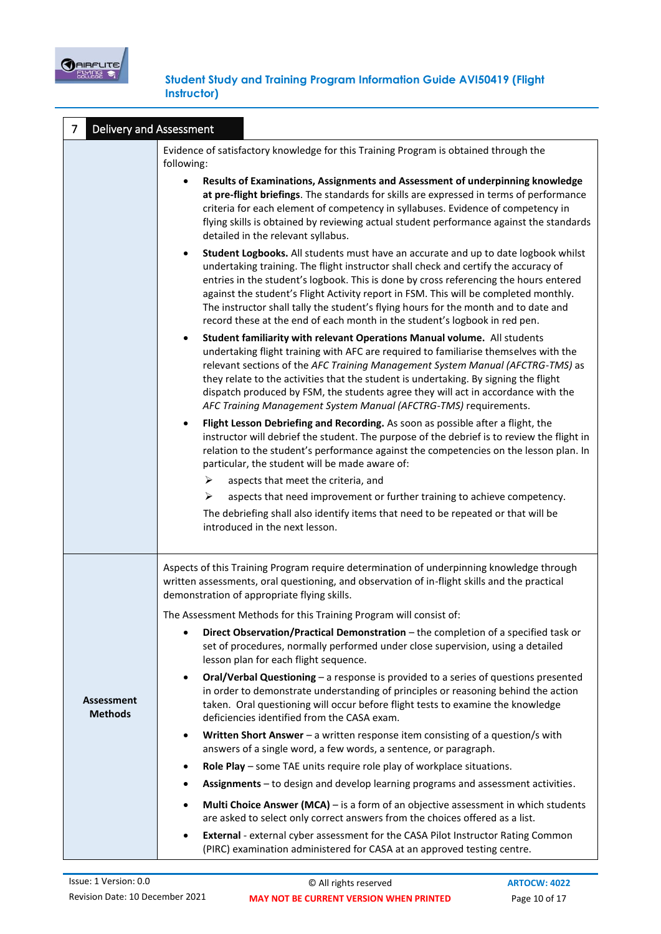

| <b>Delivery and Assessment</b><br>7 |                                                                                                                                                                                                                                                                                                                                                                                                                                                                                                                                              |
|-------------------------------------|----------------------------------------------------------------------------------------------------------------------------------------------------------------------------------------------------------------------------------------------------------------------------------------------------------------------------------------------------------------------------------------------------------------------------------------------------------------------------------------------------------------------------------------------|
|                                     | Evidence of satisfactory knowledge for this Training Program is obtained through the<br>following:                                                                                                                                                                                                                                                                                                                                                                                                                                           |
|                                     | Results of Examinations, Assignments and Assessment of underpinning knowledge<br>at pre-flight briefings. The standards for skills are expressed in terms of performance<br>criteria for each element of competency in syllabuses. Evidence of competency in<br>flying skills is obtained by reviewing actual student performance against the standards<br>detailed in the relevant syllabus.                                                                                                                                                |
|                                     | Student Logbooks. All students must have an accurate and up to date logbook whilst<br>$\bullet$<br>undertaking training. The flight instructor shall check and certify the accuracy of<br>entries in the student's logbook. This is done by cross referencing the hours entered<br>against the student's Flight Activity report in FSM. This will be completed monthly.<br>The instructor shall tally the student's flying hours for the month and to date and<br>record these at the end of each month in the student's logbook in red pen. |
|                                     | Student familiarity with relevant Operations Manual volume. All students<br>$\bullet$<br>undertaking flight training with AFC are required to familiarise themselves with the<br>relevant sections of the AFC Training Management System Manual (AFCTRG-TMS) as<br>they relate to the activities that the student is undertaking. By signing the flight<br>dispatch produced by FSM, the students agree they will act in accordance with the<br>AFC Training Management System Manual (AFCTRG-TMS) requirements.                             |
|                                     | Flight Lesson Debriefing and Recording. As soon as possible after a flight, the<br>٠<br>instructor will debrief the student. The purpose of the debrief is to review the flight in<br>relation to the student's performance against the competencies on the lesson plan. In<br>particular, the student will be made aware of:<br>➤<br>aspects that meet the criteria, and                                                                                                                                                                    |
|                                     | aspects that need improvement or further training to achieve competency.<br>➤<br>The debriefing shall also identify items that need to be repeated or that will be<br>introduced in the next lesson.                                                                                                                                                                                                                                                                                                                                         |
|                                     | Aspects of this Training Program require determination of underpinning knowledge through<br>written assessments, oral questioning, and observation of in-flight skills and the practical<br>demonstration of appropriate flying skills.                                                                                                                                                                                                                                                                                                      |
|                                     | The Assessment Methods for this Training Program will consist of:                                                                                                                                                                                                                                                                                                                                                                                                                                                                            |
|                                     | Direct Observation/Practical Demonstration - the completion of a specified task or<br>٠<br>set of procedures, normally performed under close supervision, using a detailed<br>lesson plan for each flight sequence.                                                                                                                                                                                                                                                                                                                          |
| <b>Assessment</b><br><b>Methods</b> | Oral/Verbal Questioning - a response is provided to a series of questions presented<br>$\bullet$<br>in order to demonstrate understanding of principles or reasoning behind the action<br>taken. Oral questioning will occur before flight tests to examine the knowledge<br>deficiencies identified from the CASA exam.                                                                                                                                                                                                                     |
|                                     | Written Short Answer - a written response item consisting of a question/s with<br>٠<br>answers of a single word, a few words, a sentence, or paragraph.                                                                                                                                                                                                                                                                                                                                                                                      |
|                                     | Role Play - some TAE units require role play of workplace situations.<br>٠                                                                                                                                                                                                                                                                                                                                                                                                                                                                   |
|                                     | Assignments - to design and develop learning programs and assessment activities.<br>٠                                                                                                                                                                                                                                                                                                                                                                                                                                                        |
|                                     | Multi Choice Answer (MCA) - is a form of an objective assessment in which students<br>$\bullet$<br>are asked to select only correct answers from the choices offered as a list.                                                                                                                                                                                                                                                                                                                                                              |
|                                     | External - external cyber assessment for the CASA Pilot Instructor Rating Common<br>$\bullet$<br>(PIRC) examination administered for CASA at an approved testing centre.                                                                                                                                                                                                                                                                                                                                                                     |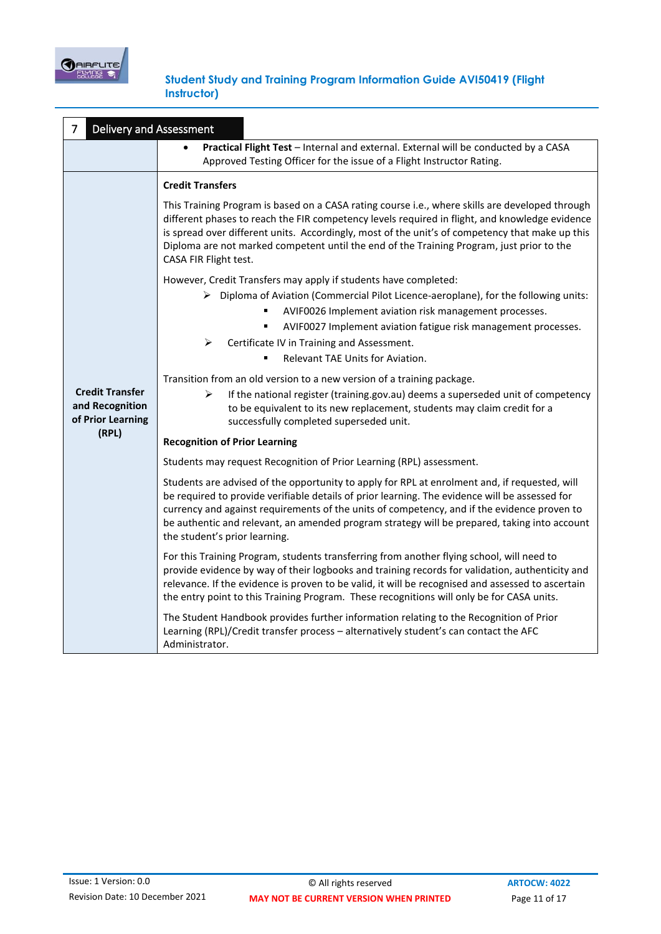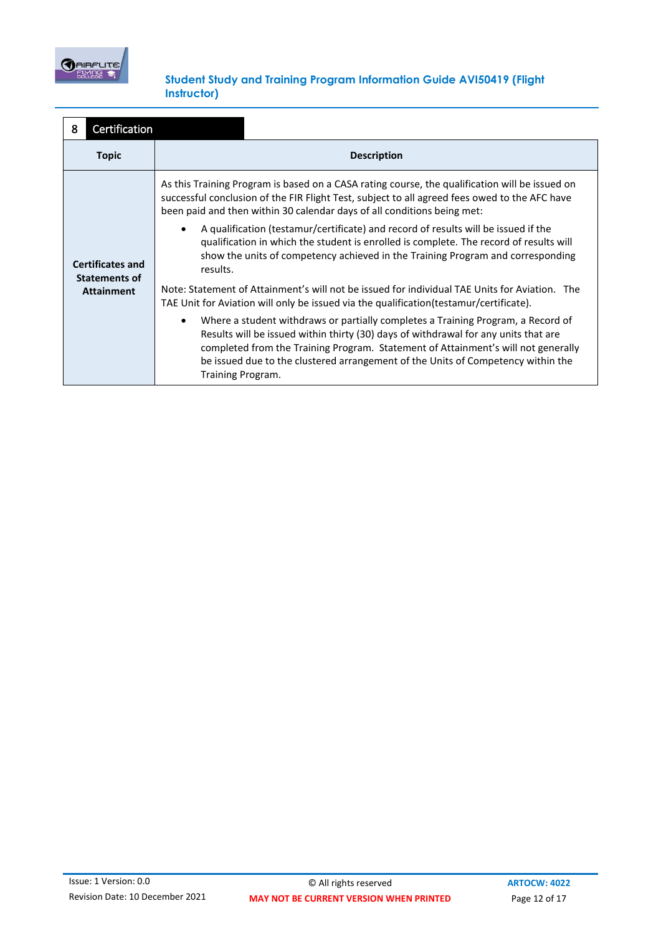

| Certification<br>8                                                   |                                                                                                                                                                                                                                                                                                                                                                                    |
|----------------------------------------------------------------------|------------------------------------------------------------------------------------------------------------------------------------------------------------------------------------------------------------------------------------------------------------------------------------------------------------------------------------------------------------------------------------|
| <b>Topic</b>                                                         | <b>Description</b>                                                                                                                                                                                                                                                                                                                                                                 |
| <b>Certificates and</b><br><b>Statements of</b><br><b>Attainment</b> | As this Training Program is based on a CASA rating course, the qualification will be issued on<br>successful conclusion of the FIR Flight Test, subject to all agreed fees owed to the AFC have<br>been paid and then within 30 calendar days of all conditions being met:                                                                                                         |
|                                                                      | A qualification (testamur/certificate) and record of results will be issued if the<br>qualification in which the student is enrolled is complete. The record of results will<br>show the units of competency achieved in the Training Program and corresponding<br>results.                                                                                                        |
|                                                                      | Note: Statement of Attainment's will not be issued for individual TAE Units for Aviation. The<br>TAE Unit for Aviation will only be issued via the qualification (testamur/certificate).                                                                                                                                                                                           |
|                                                                      | Where a student withdraws or partially completes a Training Program, a Record of<br>$\bullet$<br>Results will be issued within thirty (30) days of withdrawal for any units that are<br>completed from the Training Program. Statement of Attainment's will not generally<br>be issued due to the clustered arrangement of the Units of Competency within the<br>Training Program. |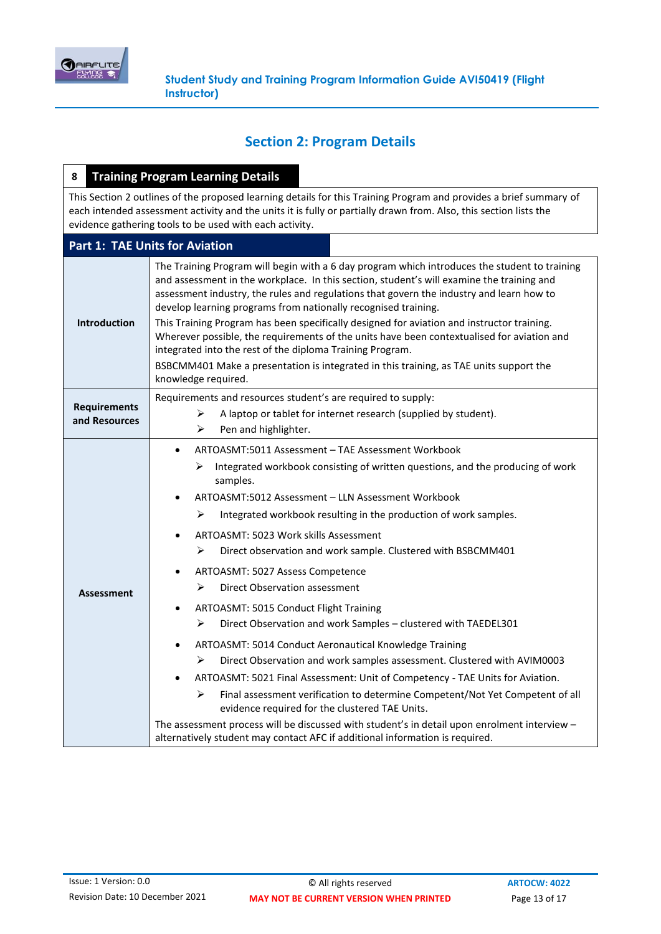

# **Section 2: Program Details**

| 8                                    | <b>Training Program Learning Details</b>                                                                                                                                                                                                                                                                                                                                                                                                                                                                                                                                                                                                                                                                                                                                                                                                                                                                                                                                                                                                                                                                                                                                               |
|--------------------------------------|----------------------------------------------------------------------------------------------------------------------------------------------------------------------------------------------------------------------------------------------------------------------------------------------------------------------------------------------------------------------------------------------------------------------------------------------------------------------------------------------------------------------------------------------------------------------------------------------------------------------------------------------------------------------------------------------------------------------------------------------------------------------------------------------------------------------------------------------------------------------------------------------------------------------------------------------------------------------------------------------------------------------------------------------------------------------------------------------------------------------------------------------------------------------------------------|
|                                      | This Section 2 outlines of the proposed learning details for this Training Program and provides a brief summary of<br>each intended assessment activity and the units it is fully or partially drawn from. Also, this section lists the<br>evidence gathering tools to be used with each activity.                                                                                                                                                                                                                                                                                                                                                                                                                                                                                                                                                                                                                                                                                                                                                                                                                                                                                     |
|                                      | <b>Part 1: TAE Units for Aviation</b>                                                                                                                                                                                                                                                                                                                                                                                                                                                                                                                                                                                                                                                                                                                                                                                                                                                                                                                                                                                                                                                                                                                                                  |
| <b>Introduction</b>                  | The Training Program will begin with a 6 day program which introduces the student to training<br>and assessment in the workplace. In this section, student's will examine the training and<br>assessment industry, the rules and regulations that govern the industry and learn how to<br>develop learning programs from nationally recognised training.<br>This Training Program has been specifically designed for aviation and instructor training.<br>Wherever possible, the requirements of the units have been contextualised for aviation and<br>integrated into the rest of the diploma Training Program.<br>BSBCMM401 Make a presentation is integrated in this training, as TAE units support the<br>knowledge required.                                                                                                                                                                                                                                                                                                                                                                                                                                                     |
| <b>Requirements</b><br>and Resources | Requirements and resources student's are required to supply:<br>⋗<br>A laptop or tablet for internet research (supplied by student).<br>➤<br>Pen and highlighter.                                                                                                                                                                                                                                                                                                                                                                                                                                                                                                                                                                                                                                                                                                                                                                                                                                                                                                                                                                                                                      |
| <b>Assessment</b>                    | ARTOASMT:5011 Assessment - TAE Assessment Workbook<br>$\bullet$<br>Integrated workbook consisting of written questions, and the producing of work<br>⋗<br>samples.<br>ARTOASMT:5012 Assessment - LLN Assessment Workbook<br>Integrated workbook resulting in the production of work samples.<br>⋗<br><b>ARTOASMT: 5023 Work skills Assessment</b><br>$\bullet$<br>⋗<br>Direct observation and work sample. Clustered with BSBCMM401<br>ARTOASMT: 5027 Assess Competence<br>٠<br>⋗<br>Direct Observation assessment<br>ARTOASMT: 5015 Conduct Flight Training<br>Direct Observation and work Samples - clustered with TAEDEL301<br>➤<br>ARTOASMT: 5014 Conduct Aeronautical Knowledge Training<br>Direct Observation and work samples assessment. Clustered with AVIM0003<br>⋗<br>ARTOASMT: 5021 Final Assessment: Unit of Competency - TAE Units for Aviation.<br>➤<br>Final assessment verification to determine Competent/Not Yet Competent of all<br>evidence required for the clustered TAE Units.<br>The assessment process will be discussed with student's in detail upon enrolment interview -<br>alternatively student may contact AFC if additional information is required. |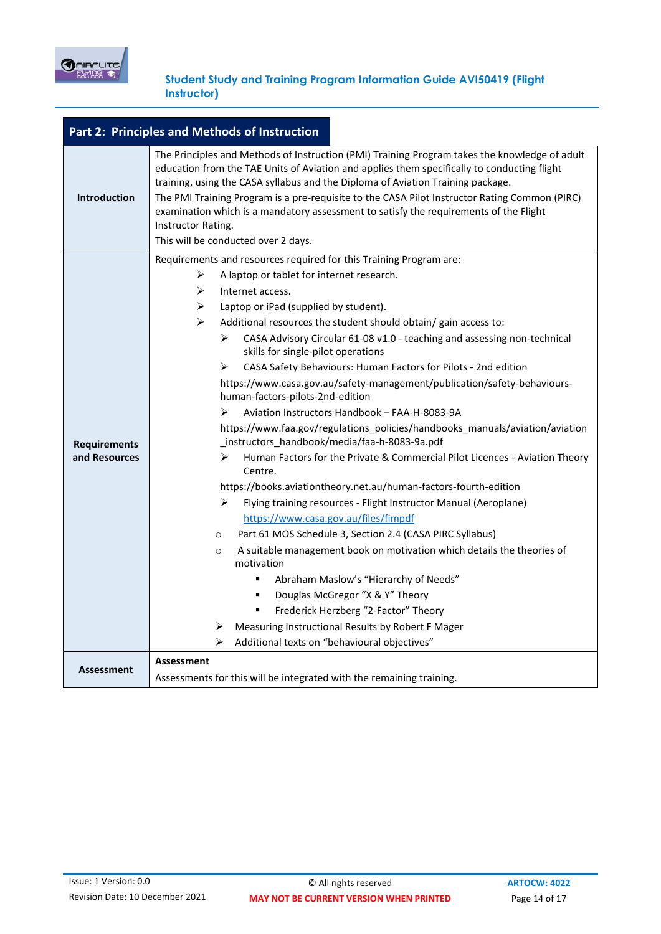

| Part 2: Principles and Methods of Instruction |                                                                                                                                                                                                                                                                                                                                                                                                                                                                                                                                                                                                                                                                                                                                                                                                                                                                                                                                                                                                                                                                                                                                                                                                                                                                                                                                                                                                                                                                                     |  |  |
|-----------------------------------------------|-------------------------------------------------------------------------------------------------------------------------------------------------------------------------------------------------------------------------------------------------------------------------------------------------------------------------------------------------------------------------------------------------------------------------------------------------------------------------------------------------------------------------------------------------------------------------------------------------------------------------------------------------------------------------------------------------------------------------------------------------------------------------------------------------------------------------------------------------------------------------------------------------------------------------------------------------------------------------------------------------------------------------------------------------------------------------------------------------------------------------------------------------------------------------------------------------------------------------------------------------------------------------------------------------------------------------------------------------------------------------------------------------------------------------------------------------------------------------------------|--|--|
| <b>Introduction</b>                           | The Principles and Methods of Instruction (PMI) Training Program takes the knowledge of adult<br>education from the TAE Units of Aviation and applies them specifically to conducting flight<br>training, using the CASA syllabus and the Diploma of Aviation Training package.<br>The PMI Training Program is a pre-requisite to the CASA Pilot Instructor Rating Common (PIRC)<br>examination which is a mandatory assessment to satisfy the requirements of the Flight<br>Instructor Rating.<br>This will be conducted over 2 days.                                                                                                                                                                                                                                                                                                                                                                                                                                                                                                                                                                                                                                                                                                                                                                                                                                                                                                                                              |  |  |
| <b>Requirements</b><br>and Resources          | Requirements and resources required for this Training Program are:<br>A laptop or tablet for internet research.<br>➤<br>➤<br>Internet access.<br>Laptop or iPad (supplied by student).<br>≻<br>➤<br>Additional resources the student should obtain/ gain access to:<br>➤<br>CASA Advisory Circular 61-08 v1.0 - teaching and assessing non-technical<br>skills for single-pilot operations<br>CASA Safety Behaviours: Human Factors for Pilots - 2nd edition<br>≻<br>https://www.casa.gov.au/safety-management/publication/safety-behaviours-<br>human-factors-pilots-2nd-edition<br>Aviation Instructors Handbook - FAA-H-8083-9A<br>⋗<br>https://www.faa.gov/regulations_policies/handbooks_manuals/aviation/aviation<br>_instructors_handbook/media/faa-h-8083-9a.pdf<br>Human Factors for the Private & Commercial Pilot Licences - Aviation Theory<br>≻<br>Centre.<br>https://books.aviationtheory.net.au/human-factors-fourth-edition<br>↘<br>Flying training resources - Flight Instructor Manual (Aeroplane)<br>https://www.casa.gov.au/files/fimpdf<br>Part 61 MOS Schedule 3, Section 2.4 (CASA PIRC Syllabus)<br>$\circ$<br>A suitable management book on motivation which details the theories of<br>$\circ$<br>motivation<br>Abraham Maslow's "Hierarchy of Needs"<br>٠<br>Douglas McGregor "X & Y" Theory<br>٠<br>Frederick Herzberg "2-Factor" Theory<br>Measuring Instructional Results by Robert F Mager<br>➤<br>Additional texts on "behavioural objectives"<br>≻ |  |  |
| <b>Assessment</b>                             | <b>Assessment</b><br>Assessments for this will be integrated with the remaining training.                                                                                                                                                                                                                                                                                                                                                                                                                                                                                                                                                                                                                                                                                                                                                                                                                                                                                                                                                                                                                                                                                                                                                                                                                                                                                                                                                                                           |  |  |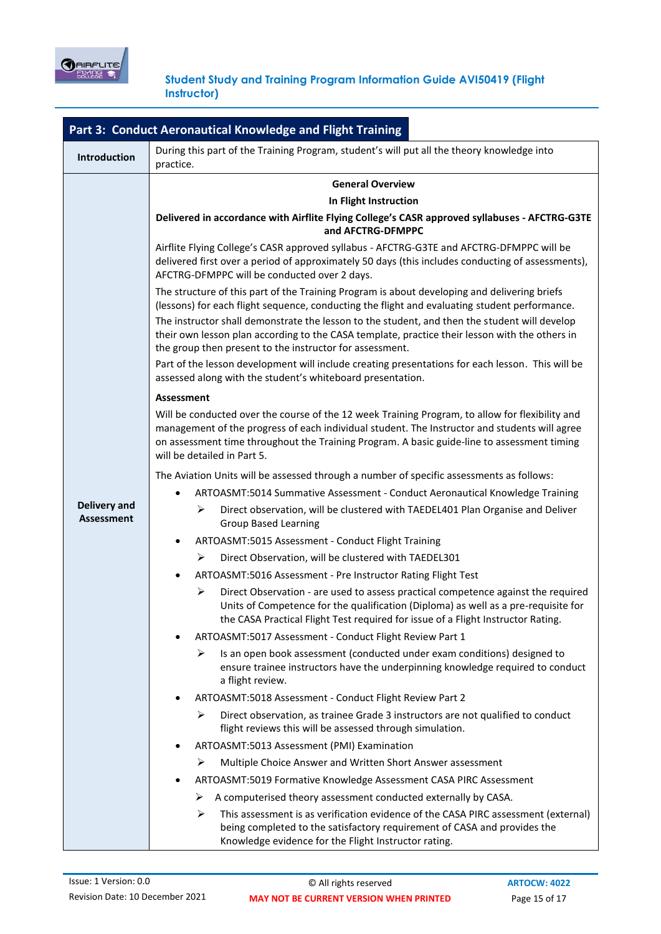

| Part 3: Conduct Aeronautical Knowledge and Flight Training |                                                                                                                                                                                                                                                                                                                                |  |  |
|------------------------------------------------------------|--------------------------------------------------------------------------------------------------------------------------------------------------------------------------------------------------------------------------------------------------------------------------------------------------------------------------------|--|--|
| <b>Introduction</b>                                        | During this part of the Training Program, student's will put all the theory knowledge into<br>practice.                                                                                                                                                                                                                        |  |  |
|                                                            | <b>General Overview</b>                                                                                                                                                                                                                                                                                                        |  |  |
|                                                            | In Flight Instruction                                                                                                                                                                                                                                                                                                          |  |  |
|                                                            | Delivered in accordance with Airflite Flying College's CASR approved syllabuses - AFCTRG-G3TE<br>and AFCTRG-DFMPPC                                                                                                                                                                                                             |  |  |
|                                                            | Airflite Flying College's CASR approved syllabus - AFCTRG-G3TE and AFCTRG-DFMPPC will be<br>delivered first over a period of approximately 50 days (this includes conducting of assessments),<br>AFCTRG-DFMPPC will be conducted over 2 days.                                                                                  |  |  |
|                                                            | The structure of this part of the Training Program is about developing and delivering briefs<br>(lessons) for each flight sequence, conducting the flight and evaluating student performance.                                                                                                                                  |  |  |
|                                                            | The instructor shall demonstrate the lesson to the student, and then the student will develop<br>their own lesson plan according to the CASA template, practice their lesson with the others in<br>the group then present to the instructor for assessment.                                                                    |  |  |
|                                                            | Part of the lesson development will include creating presentations for each lesson. This will be<br>assessed along with the student's whiteboard presentation.                                                                                                                                                                 |  |  |
|                                                            | Assessment                                                                                                                                                                                                                                                                                                                     |  |  |
|                                                            | Will be conducted over the course of the 12 week Training Program, to allow for flexibility and<br>management of the progress of each individual student. The Instructor and students will agree<br>on assessment time throughout the Training Program. A basic guide-line to assessment timing<br>will be detailed in Part 5. |  |  |
|                                                            | The Aviation Units will be assessed through a number of specific assessments as follows:                                                                                                                                                                                                                                       |  |  |
|                                                            | ARTOASMT:5014 Summative Assessment - Conduct Aeronautical Knowledge Training                                                                                                                                                                                                                                                   |  |  |
| <b>Delivery and</b><br><b>Assessment</b>                   | ⋗<br>Direct observation, will be clustered with TAEDEL401 Plan Organise and Deliver<br><b>Group Based Learning</b>                                                                                                                                                                                                             |  |  |
|                                                            | ARTOASMT:5015 Assessment - Conduct Flight Training                                                                                                                                                                                                                                                                             |  |  |
|                                                            | ➤<br>Direct Observation, will be clustered with TAEDEL301                                                                                                                                                                                                                                                                      |  |  |
|                                                            | ARTOASMT:5016 Assessment - Pre Instructor Rating Flight Test                                                                                                                                                                                                                                                                   |  |  |
|                                                            | Direct Observation - are used to assess practical competence against the required<br>⋗<br>Units of Competence for the qualification (Diploma) as well as a pre-requisite for<br>the CASA Practical Flight Test required for issue of a Flight Instructor Rating.                                                               |  |  |
|                                                            | ARTOASMT:5017 Assessment - Conduct Flight Review Part 1                                                                                                                                                                                                                                                                        |  |  |
|                                                            | Is an open book assessment (conducted under exam conditions) designed to<br>⋗<br>ensure trainee instructors have the underpinning knowledge required to conduct<br>a flight review.                                                                                                                                            |  |  |
|                                                            | ARTOASMT:5018 Assessment - Conduct Flight Review Part 2                                                                                                                                                                                                                                                                        |  |  |
|                                                            | ⋗<br>Direct observation, as trainee Grade 3 instructors are not qualified to conduct<br>flight reviews this will be assessed through simulation.                                                                                                                                                                               |  |  |
|                                                            | ARTOASMT:5013 Assessment (PMI) Examination                                                                                                                                                                                                                                                                                     |  |  |
|                                                            | Multiple Choice Answer and Written Short Answer assessment<br>➤                                                                                                                                                                                                                                                                |  |  |
|                                                            | ARTOASMT:5019 Formative Knowledge Assessment CASA PIRC Assessment                                                                                                                                                                                                                                                              |  |  |
|                                                            | A computerised theory assessment conducted externally by CASA.<br>➤                                                                                                                                                                                                                                                            |  |  |
|                                                            | This assessment is as verification evidence of the CASA PIRC assessment (external)<br>➤<br>being completed to the satisfactory requirement of CASA and provides the<br>Knowledge evidence for the Flight Instructor rating.                                                                                                    |  |  |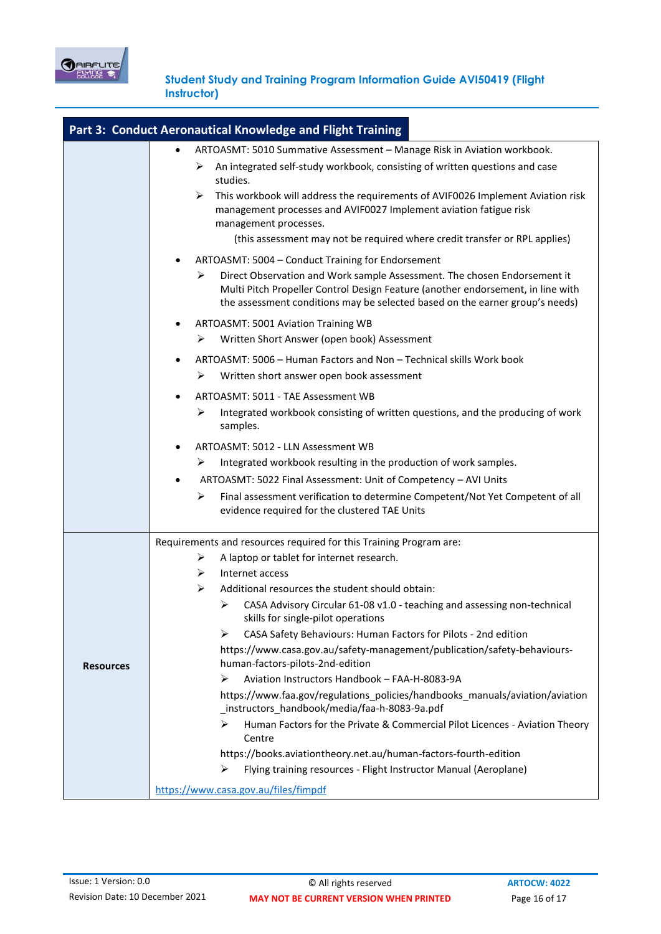

|                  | Part 3: Conduct Aeronautical Knowledge and Flight Training                                                                                                                                                                                                       |
|------------------|------------------------------------------------------------------------------------------------------------------------------------------------------------------------------------------------------------------------------------------------------------------|
|                  | ARTOASMT: 5010 Summative Assessment - Manage Risk in Aviation workbook.                                                                                                                                                                                          |
|                  | An integrated self-study workbook, consisting of written questions and case<br>➤<br>studies.                                                                                                                                                                     |
|                  | This workbook will address the requirements of AVIF0026 Implement Aviation risk<br>⋗<br>management processes and AVIF0027 Implement aviation fatigue risk<br>management processes.<br>(this assessment may not be required where credit transfer or RPL applies) |
|                  | ARTOASMT: 5004 - Conduct Training for Endorsement                                                                                                                                                                                                                |
|                  | Direct Observation and Work sample Assessment. The chosen Endorsement it<br>⋗<br>Multi Pitch Propeller Control Design Feature (another endorsement, in line with<br>the assessment conditions may be selected based on the earner group's needs)                 |
|                  | ARTOASMT: 5001 Aviation Training WB<br>٠                                                                                                                                                                                                                         |
|                  | Written Short Answer (open book) Assessment<br>➤                                                                                                                                                                                                                 |
|                  | ARTOASMT: 5006 - Human Factors and Non - Technical skills Work book                                                                                                                                                                                              |
|                  | Written short answer open book assessment<br>➤                                                                                                                                                                                                                   |
|                  | ARTOASMT: 5011 - TAE Assessment WB                                                                                                                                                                                                                               |
|                  | Integrated workbook consisting of written questions, and the producing of work<br>➤<br>samples.                                                                                                                                                                  |
|                  | ARTOASMT: 5012 - LLN Assessment WB                                                                                                                                                                                                                               |
|                  | Integrated workbook resulting in the production of work samples.<br>➤                                                                                                                                                                                            |
|                  | ARTOASMT: 5022 Final Assessment: Unit of Competency - AVI Units<br>٠                                                                                                                                                                                             |
|                  | Final assessment verification to determine Competent/Not Yet Competent of all<br>➤<br>evidence required for the clustered TAE Units                                                                                                                              |
|                  | Requirements and resources required for this Training Program are:                                                                                                                                                                                               |
|                  | A laptop or tablet for internet research.<br>➤                                                                                                                                                                                                                   |
|                  | ➤<br>Internet access                                                                                                                                                                                                                                             |
|                  | ≻<br>Additional resources the student should obtain:                                                                                                                                                                                                             |
|                  | CASA Advisory Circular 61-08 v1.0 - teaching and assessing non-technical<br>⋗<br>skills for single-pilot operations                                                                                                                                              |
|                  | CASA Safety Behaviours: Human Factors for Pilots - 2nd edition<br>➤                                                                                                                                                                                              |
| <b>Resources</b> | https://www.casa.gov.au/safety-management/publication/safety-behaviours-<br>human-factors-pilots-2nd-edition                                                                                                                                                     |
|                  | Aviation Instructors Handbook - FAA-H-8083-9A<br>≻                                                                                                                                                                                                               |
|                  | https://www.faa.gov/regulations_policies/handbooks_manuals/aviation/aviation<br>_instructors_handbook/media/faa-h-8083-9a.pdf                                                                                                                                    |
|                  | ⋗<br>Human Factors for the Private & Commercial Pilot Licences - Aviation Theory<br>Centre                                                                                                                                                                       |
|                  | https://books.aviationtheory.net.au/human-factors-fourth-edition                                                                                                                                                                                                 |
|                  | Flying training resources - Flight Instructor Manual (Aeroplane)<br>➤                                                                                                                                                                                            |
|                  | https://www.casa.gov.au/files/fimpdf                                                                                                                                                                                                                             |